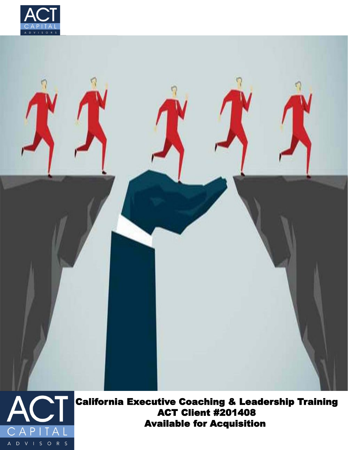





California Executive Coaching & Leadership Training ACT Client #201408 Available for Acquisition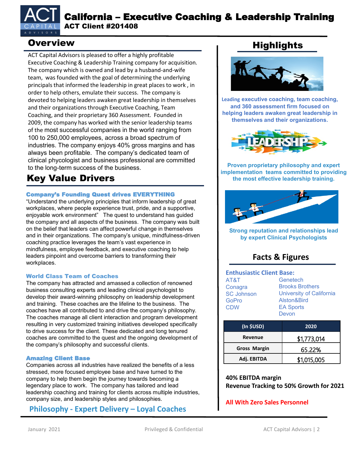

## California – Executive Coaching & Leadership Training ACT Client #201408

ACT Capital Advisors is pleased to offer a highly profitable Executive Coaching & Leadership Training company for acquisition. The company which is owned and lead by a husband-and-wife team, was founded with the goal of determining the underlying principals that informed the leadership in great places to work , in order to help others, emulate their success. The company is devoted to helping leaders awaken great leadership in themselves and their organizations through Executive Coaching, Team Coaching, and their proprietary 360 Assessment. Founded in 2009, the company has worked with the senior leadership teams of the most successful companies in the world ranging from 100 to 250,000 employees, across a broad spectrum of industries. The company enjoys 40% gross margins and has always been profitable. The company's dedicated team of clinical phycologist and business professional are committed to the long-term success of the business. **Proven proprietary philosophy and expert** 

# Key Value Drivers

#### Company's Founding Quest drives EVERYTHING

"Understand the underlying principles that inform leadership of great workplaces, where people experience trust, pride, and a supportive, enjoyable work environment" The quest to understand has guided the company and all aspects of the business. The company was built on the belief that leaders can affect powerful change in themselves and in their organizations. The company's unique, mindfulness-driven coaching practice leverages the team's vast experience in mindfulness, employee feedback, and executive coaching to help leaders pinpoint and overcome barriers to transforming their workplaces.

#### World Class Team of Coaches

The company has attracted and amassed a collection of renowned business consulting experts and leading clinical psychologist to develop their award-winning philosophy on leadership development and training. These coaches are the lifeline to the business. The coaches have all contributed to and drive the company's philosophy. The coaches manage all client interaction and program development resulting in very customized training initiatives developed specifically to drive success for the client. These dedicated and long tenured coaches are committed to the quest and the ongoing development of the company's philosophy and successful clients.

#### Amazing Client Base

Companies across all industries have realized the benefits of a less stressed, more focused employee base and have turned to the company to help them begin the journey towards becoming a legendary place to work. The company has tailored and lead leadership coaching and training for clients across multiple industries, company size, and leadership styles and philosophies.

### **Philosophy - Expert Delivery – Loyal Coaches**

# Overview **Nighlights**



**Leading executive coaching, team coaching, and 360 assessment firm focused on helping leaders awaken great leadership in themselves and their organizations.**



**implementation teams committed to providing the most effective leadership training.**



**Strong reputation and relationships lead by expert Clinical Psychologists**

# **Facts & Figures**

#### **Enthusiastic Client Base:** AT&T **Genetech**

| AIčII             | Genetecn                        |  |  |
|-------------------|---------------------------------|--|--|
| Conagra           | <b>Brooks Brothers</b>          |  |  |
| <b>SC Johnson</b> | <b>University of California</b> |  |  |
| GoPro             | Alston&Bird                     |  |  |
| <b>CDW</b>        | <b>EA Sports</b>                |  |  |
|                   | Devon                           |  |  |

| (In \$USD)          | 2020        |  |
|---------------------|-------------|--|
| Revenue             | \$1,773,014 |  |
| <b>Gross Margin</b> | 65.22%      |  |
| Adj. EBITDA         | \$1,015,005 |  |

#### **40% EBITDA margin Revenue Tracking to 50% Growth for 2021**

#### **All With Zero Sales Personnel**